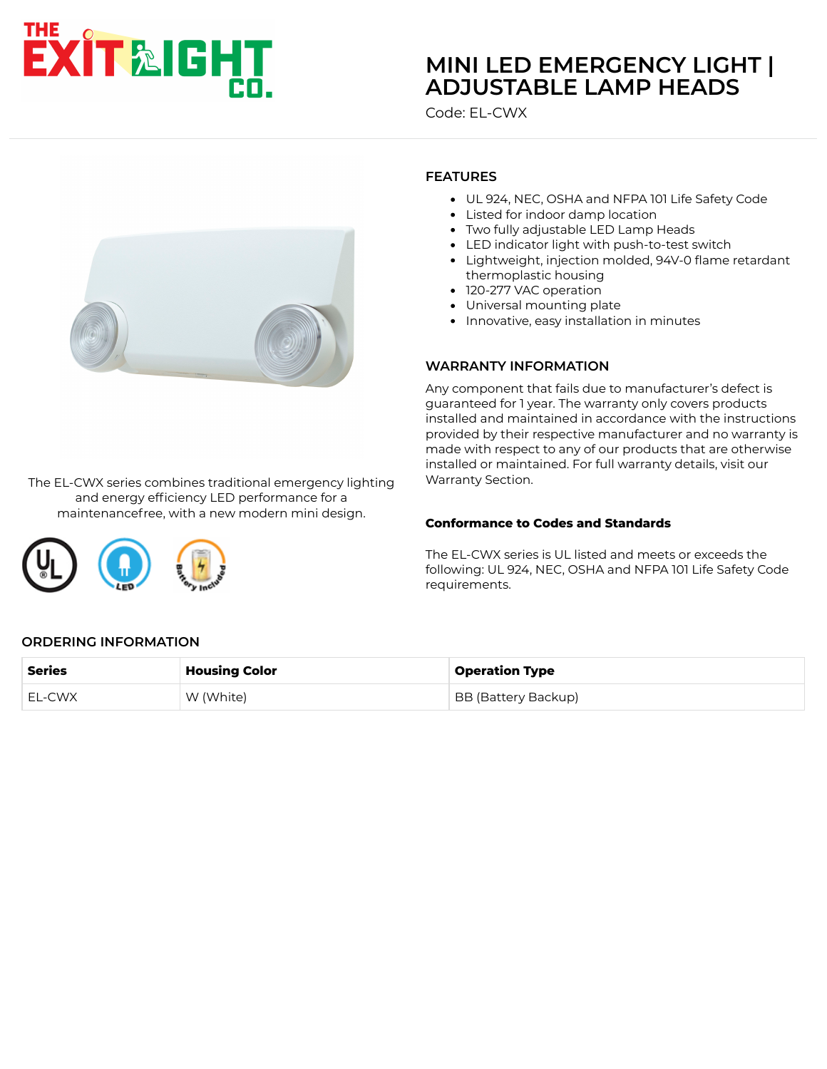# **EXIT&IGHT**

# **[MINI LED EMERGENCY LIGHT |](https://www.exitlightco.com/product/EL-CWX.html) ADJUSTABLE LAMP HEADS**

Code: EL-CWX



The EL-CWX series combines traditional emergency lighting and energy efficiency LED performance for a maintenancefree, with a new modern mini design.

**FEATURES**

- UL 924, NEC, OSHA and NFPA 101 Life Safety Code
- Listed for indoor damp location
- Two fully adjustable LED Lamp Heads
- LED indicator light with push-to-test switch
- Lightweight, injection molded, 94V-0 flame retardant thermoplastic housing
- 120-277 VAC operation
- Universal mounting plate
- Innovative, easy installation in minutes

#### **WARRANTY INFORMATION**

Any component that fails due to manufacturer's defect is guaranteed for 1 year. The warranty only covers products installed and maintained in accordance with the instructions provided by their respective manufacturer and no warranty is made with respect to any of our products that are otherwise installed or maintained. For full warranty details, visit our Warranty Section.

#### **Conformance to Codes and Standards**

The EL-CWX series is UL listed and meets or exceeds the following: UL 924, NEC, OSHA and NFPA 101 Life Safety Code requirements.

# **ORDERING INFORMATION**

| Series | <b>Housing Color</b> | <b>Operation Type</b> |
|--------|----------------------|-----------------------|
| EL-CWX | W (White)            | BB (Battery Backup)   |